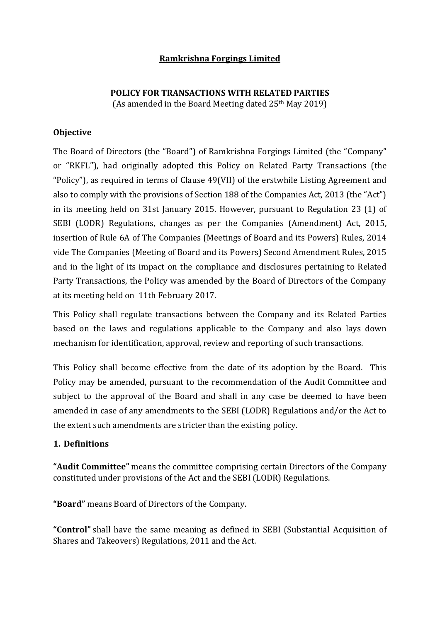## **Ramkrishna Forgings Limited**

# **POLICY FOR TRANSACTIONS WITH RELATED PARTIES**

(As amended in the Board Meeting dated 25th May 2019)

# **Objective**

The Board of Directors (the "Board") of Ramkrishna Forgings Limited (the "Company" or "RKFL"), had originally adopted this Policy on Related Party Transactions (the "Policy"), as required in terms of Clause 49(VII) of the erstwhile Listing Agreement and also to comply with the provisions of Section 188 of the Companies Act, 2013 (the "Act") in its meeting held on 31st January 2015. However, pursuant to Regulation 23 (1) of SEBI (LODR) Regulations, changes as per the Companies (Amendment) Act, 2015, insertion of Rule 6A of The Companies (Meetings of Board and its Powers) Rules, 2014 vide The Companies (Meeting of Board and its Powers) Second Amendment Rules, 2015 and in the light of its impact on the compliance and disclosures pertaining to Related Party Transactions, the Policy was amended by the Board of Directors of the Company at its meeting held on 11th February 2017.

This Policy shall regulate transactions between the Company and its Related Parties based on the laws and regulations applicable to the Company and also lays down mechanism for identification, approval, review and reporting of such transactions.

This Policy shall become effective from the date of its adoption by the Board. This Policy may be amended, pursuant to the recommendation of the Audit Committee and subject to the approval of the Board and shall in any case be deemed to have been amended in case of any amendments to the SEBI (LODR) Regulations and/or the Act to the extent such amendments are stricter than the existing policy.

## **1. Definitions**

**"Audit Committee"** means the committee comprising certain Directors of the Company constituted under provisions of the Act and the SEBI (LODR) Regulations.

**"Board"** means Board of Directors of the Company.

**"Control"** shall have the same meaning as defined in SEBI (Substantial Acquisition of Shares and Takeovers) Regulations, 2011 and the Act.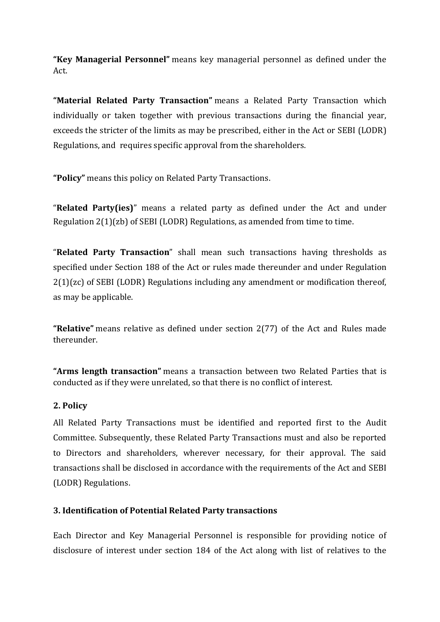**"Key Managerial Personnel"** means key managerial personnel as defined under the Act.

**"Material Related Party Transaction"** means a Related Party Transaction which individually or taken together with previous transactions during the financial year, exceeds the stricter of the limits as may be prescribed, either in the Act or SEBI (LODR) Regulations, and requires specific approval from the shareholders.

**"Policy"** means this policy on Related Party Transactions.

"**Related Party(ies)**" means a related party as defined under the Act and under Regulation 2(1)(zb) of SEBI (LODR) Regulations, as amended from time to time.

"**Related Party Transaction**" shall mean such transactions having thresholds as specified under Section 188 of the Act or rules made thereunder and under Regulation 2(1)(zc) of SEBI (LODR) Regulations including any amendment or modification thereof, as may be applicable.

**"Relative"** means relative as defined under section 2(77) of the Act and Rules made thereunder.

**"Arms length transaction"** means a transaction between two Related Parties that is conducted as if they were unrelated, so that there is no conflict of interest.

# **2. Policy**

All Related Party Transactions must be identified and reported first to the Audit Committee. Subsequently, these Related Party Transactions must and also be reported to Directors and shareholders, wherever necessary, for their approval. The said transactions shall be disclosed in accordance with the requirements of the Act and SEBI (LODR) Regulations.

## **3. Identification of Potential Related Party transactions**

Each Director and Key Managerial Personnel is responsible for providing notice of disclosure of interest under section 184 of the Act along with list of relatives to the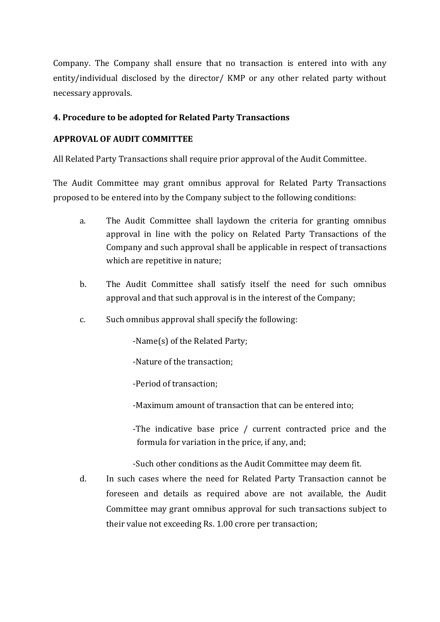Company. The Company shall ensure that no transaction is entered into with any entity/individual disclosed by the director/ KMP or any other related party without necessary approvals.

## **4. Procedure to be adopted for Related Party Transactions**

#### **APPROVAL OF AUDIT COMMITTEE**

All Related Party Transactions shall require prior approval of the Audit Committee.

The Audit Committee may grant omnibus approval for Related Party Transactions proposed to be entered into by the Company subject to the following conditions:

- a. The Audit Committee shall laydown the criteria for granting omnibus approval in line with the policy on Related Party Transactions of the Company and such approval shall be applicable in respect of transactions which are repetitive in nature;
- b. The Audit Committee shall satisfy itself the need for such omnibus approval and that such approval is in the interest of the Company;
- c. Such omnibus approval shall specify the following:

-Name(s) of the Related Party;

-Nature of the transaction;

-Period of transaction;

- -Maximum amount of transaction that can be entered into;
- -The indicative base price / current contracted price and the formula for variation in the price, if any, and;

-Such other conditions as the Audit Committee may deem fit.

d. In such cases where the need for Related Party Transaction cannot be foreseen and details as required above are not available, the Audit Committee may grant omnibus approval for such transactions subject to their value not exceeding Rs. 1.00 crore per transaction;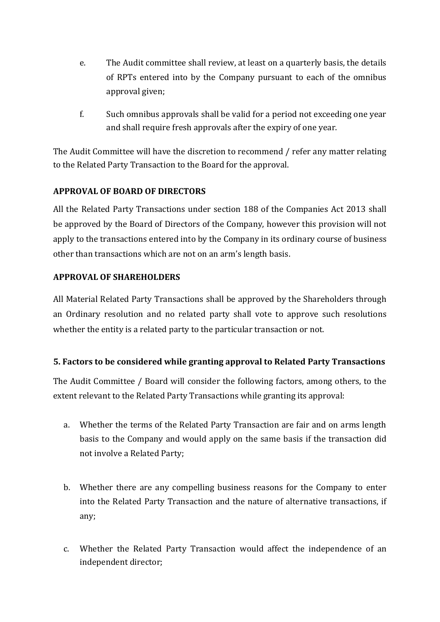- e. The Audit committee shall review, at least on a quarterly basis, the details of RPTs entered into by the Company pursuant to each of the omnibus approval given;
- f. Such omnibus approvals shall be valid for a period not exceeding one year and shall require fresh approvals after the expiry of one year.

The Audit Committee will have the discretion to recommend / refer any matter relating to the Related Party Transaction to the Board for the approval.

# **APPROVAL OF BOARD OF DIRECTORS**

All the Related Party Transactions under section 188 of the Companies Act 2013 shall be approved by the Board of Directors of the Company, however this provision will not apply to the transactions entered into by the Company in its ordinary course of business other than transactions which are not on an arm's length basis.

# **APPROVAL OF SHAREHOLDERS**

All Material Related Party Transactions shall be approved by the Shareholders through an Ordinary resolution and no related party shall vote to approve such resolutions whether the entity is a related party to the particular transaction or not.

# **5. Factors to be considered while granting approval to Related Party Transactions**

The Audit Committee / Board will consider the following factors, among others, to the extent relevant to the Related Party Transactions while granting its approval:

- a. Whether the terms of the Related Party Transaction are fair and on arms length basis to the Company and would apply on the same basis if the transaction did not involve a Related Party;
- b. Whether there are any compelling business reasons for the Company to enter into the Related Party Transaction and the nature of alternative transactions, if any;
- c. Whether the Related Party Transaction would affect the independence of an independent director;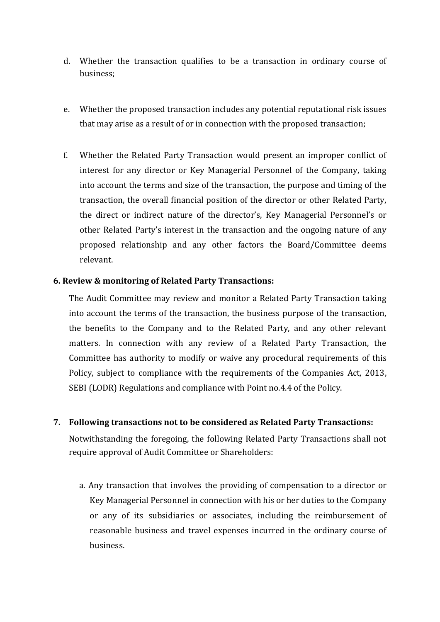- d. Whether the transaction qualifies to be a transaction in ordinary course of business;
- e. Whether the proposed transaction includes any potential reputational risk issues that may arise as a result of or in connection with the proposed transaction;
- f. Whether the Related Party Transaction would present an improper conflict of interest for any director or Key Managerial Personnel of the Company, taking into account the terms and size of the transaction, the purpose and timing of the transaction, the overall financial position of the director or other Related Party, the direct or indirect nature of the director's, Key Managerial Personnel's or other Related Party's interest in the transaction and the ongoing nature of any proposed relationship and any other factors the Board/Committee deems relevant.

#### **6. Review & monitoring of Related Party Transactions:**

The Audit Committee may review and monitor a Related Party Transaction taking into account the terms of the transaction, the business purpose of the transaction, the benefits to the Company and to the Related Party, and any other relevant matters. In connection with any review of a Related Party Transaction, the Committee has authority to modify or waive any procedural requirements of this Policy, subject to compliance with the requirements of the Companies Act, 2013, SEBI (LODR) Regulations and compliance with Point no.4.4 of the Policy.

#### **7. Following transactions not to be considered as Related Party Transactions:**

Notwithstanding the foregoing, the following Related Party Transactions shall not require approval of Audit Committee or Shareholders:

a. Any transaction that involves the providing of compensation to a director or Key Managerial Personnel in connection with his or her duties to the Company or any of its subsidiaries or associates, including the reimbursement of reasonable business and travel expenses incurred in the ordinary course of business.